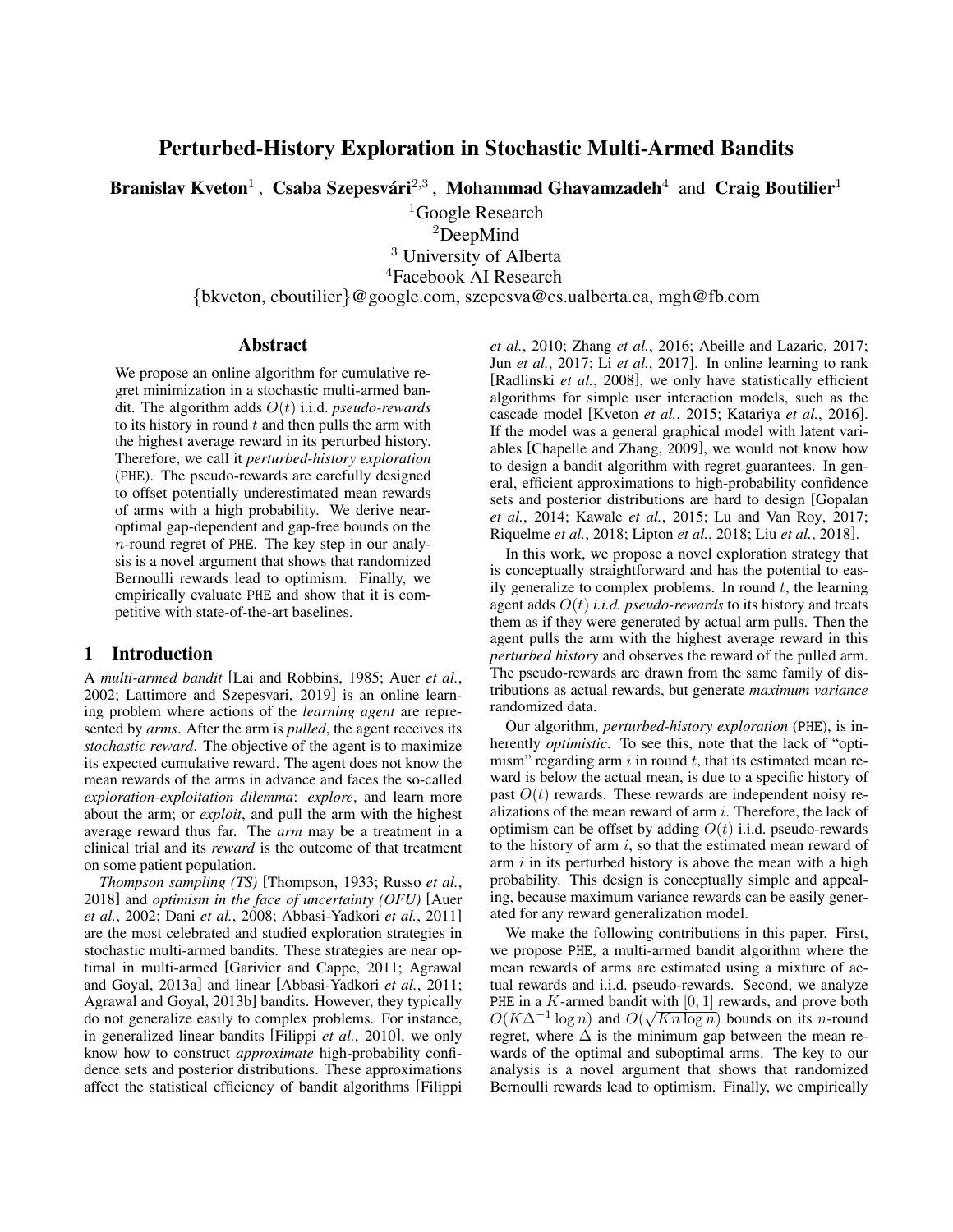# Perturbed-History Exploration in Stochastic Multi-Armed Bandits

Branislav Kveton<sup>1</sup>, Csaba Szepesvári<sup>2,3</sup>, Mohammad Ghavamzadeh<sup>4</sup> and Craig Boutilier<sup>1</sup>

 $1$ Google Research

<sup>2</sup>DeepMind

<sup>3</sup> University of Alberta

<sup>4</sup>Facebook AI Research

{bkveton, cboutilier}@google.com, szepesva@cs.ualberta.ca, mgh@fb.com

### Abstract

We propose an online algorithm for cumulative regret minimization in a stochastic multi-armed bandit. The algorithm adds O(t) i.i.d. *pseudo-rewards* to its history in round  $t$  and then pulls the arm with the highest average reward in its perturbed history. Therefore, we call it *perturbed-history exploration* (PHE). The pseudo-rewards are carefully designed to offset potentially underestimated mean rewards of arms with a high probability. We derive nearoptimal gap-dependent and gap-free bounds on the n-round regret of PHE. The key step in our analysis is a novel argument that shows that randomized Bernoulli rewards lead to optimism. Finally, we empirically evaluate PHE and show that it is competitive with state-of-the-art baselines.

## 1 Introduction

A *multi-armed bandit* [\[Lai and Robbins, 1985;](#page-7-0) [Auer](#page-6-0) *et al.*, [2002;](#page-6-0) [Lattimore and Szepesvari, 2019\]](#page-7-1) is an online learning problem where actions of the *learning agent* are represented by *arms*. After the arm is *pulled*, the agent receives its *stochastic reward*. The objective of the agent is to maximize its expected cumulative reward. The agent does not know the mean rewards of the arms in advance and faces the so-called *exploration-exploitation dilemma*: *explore*, and learn more about the arm; or *exploit*, and pull the arm with the highest average reward thus far. The *arm* may be a treatment in a clinical trial and its *reward* is the outcome of that treatment on some patient population.

*Thompson sampling (TS)* [\[Thompson, 1933;](#page-7-2) [Russo](#page-7-3) *et al.*, [2018\]](#page-7-3) and *optimism in the face of uncertainty (OFU)* [\[Auer](#page-6-0) *et al.*[, 2002;](#page-6-0) Dani *et al.*[, 2008;](#page-6-1) [Abbasi-Yadkori](#page-6-2) *et al.*, 2011] are the most celebrated and studied exploration strategies in stochastic multi-armed bandits. These strategies are near optimal in multi-armed [\[Garivier and Cappe, 2011;](#page-6-3) [Agrawal](#page-6-4) [and Goyal, 2013a\]](#page-6-4) and linear [\[Abbasi-Yadkori](#page-6-2) *et al.*, 2011; [Agrawal and Goyal, 2013b\]](#page-6-5) bandits. However, they typically do not generalize easily to complex problems. For instance, in generalized linear bandits [\[Filippi](#page-6-6) *et al.*, 2010], we only know how to construct *approximate* high-probability confidence sets and posterior distributions. These approximations affect the statistical efficiency of bandit algorithms [\[Filippi](#page-6-6) *et al.*[, 2010;](#page-6-6) Zhang *et al.*[, 2016;](#page-7-4) [Abeille and Lazaric, 2017;](#page-6-7) Jun *et al.*[, 2017;](#page-6-8) Li *et al.*[, 2017\]](#page-7-5). In online learning to rank [\[Radlinski](#page-7-6) *et al.*, 2008], we only have statistically efficient algorithms for simple user interaction models, such as the cascade model [\[Kveton](#page-7-7) *et al.*, 2015; [Katariya](#page-7-8) *et al.*, 2016]. If the model was a general graphical model with latent variables [\[Chapelle and Zhang, 2009\]](#page-6-9), we would not know how to design a bandit algorithm with regret guarantees. In general, efficient approximations to high-probability confidence sets and posterior distributions are hard to design [\[Gopalan](#page-6-10) *et al.*[, 2014;](#page-6-10) [Kawale](#page-7-9) *et al.*, 2015; [Lu and Van Roy, 2017;](#page-7-10) [Riquelme](#page-7-11) *et al.*, 2018; [Lipton](#page-7-12) *et al.*, 2018; Liu *et al.*[, 2018\]](#page-7-13).

In this work, we propose a novel exploration strategy that is conceptually straightforward and has the potential to easily generalize to complex problems. In round  $t$ , the learning agent adds  $O(t)$  *i.i.d. pseudo-rewards* to its history and treats them as if they were generated by actual arm pulls. Then the agent pulls the arm with the highest average reward in this *perturbed history* and observes the reward of the pulled arm. The pseudo-rewards are drawn from the same family of distributions as actual rewards, but generate *maximum variance* randomized data.

Our algorithm, *perturbed-history exploration* (PHE), is inherently *optimistic*. To see this, note that the lack of "optimism" regarding arm  $i$  in round  $t$ , that its estimated mean reward is below the actual mean, is due to a specific history of past  $O(t)$  rewards. These rewards are independent noisy realizations of the mean reward of arm  $i$ . Therefore, the lack of optimism can be offset by adding  $O(t)$  i.i.d. pseudo-rewards to the history of arm  $i$ , so that the estimated mean reward of arm  $i$  in its perturbed history is above the mean with a high probability. This design is conceptually simple and appealing, because maximum variance rewards can be easily generated for any reward generalization model.

We make the following contributions in this paper. First, we propose PHE, a multi-armed bandit algorithm where the mean rewards of arms are estimated using a mixture of actual rewards and i.i.d. pseudo-rewards. Second, we analyze PHE in a K-armed bandit with  $[0, 1]$  rewards, and prove both  $O(K\Delta^{-1}\log n)$  and  $O(\sqrt{Kn\log n})$  bounds on its *n*-round regret, where  $\Delta$  is the minimum gap between the mean rewards of the optimal and suboptimal arms. The key to our analysis is a novel argument that shows that randomized Bernoulli rewards lead to optimism. Finally, we empirically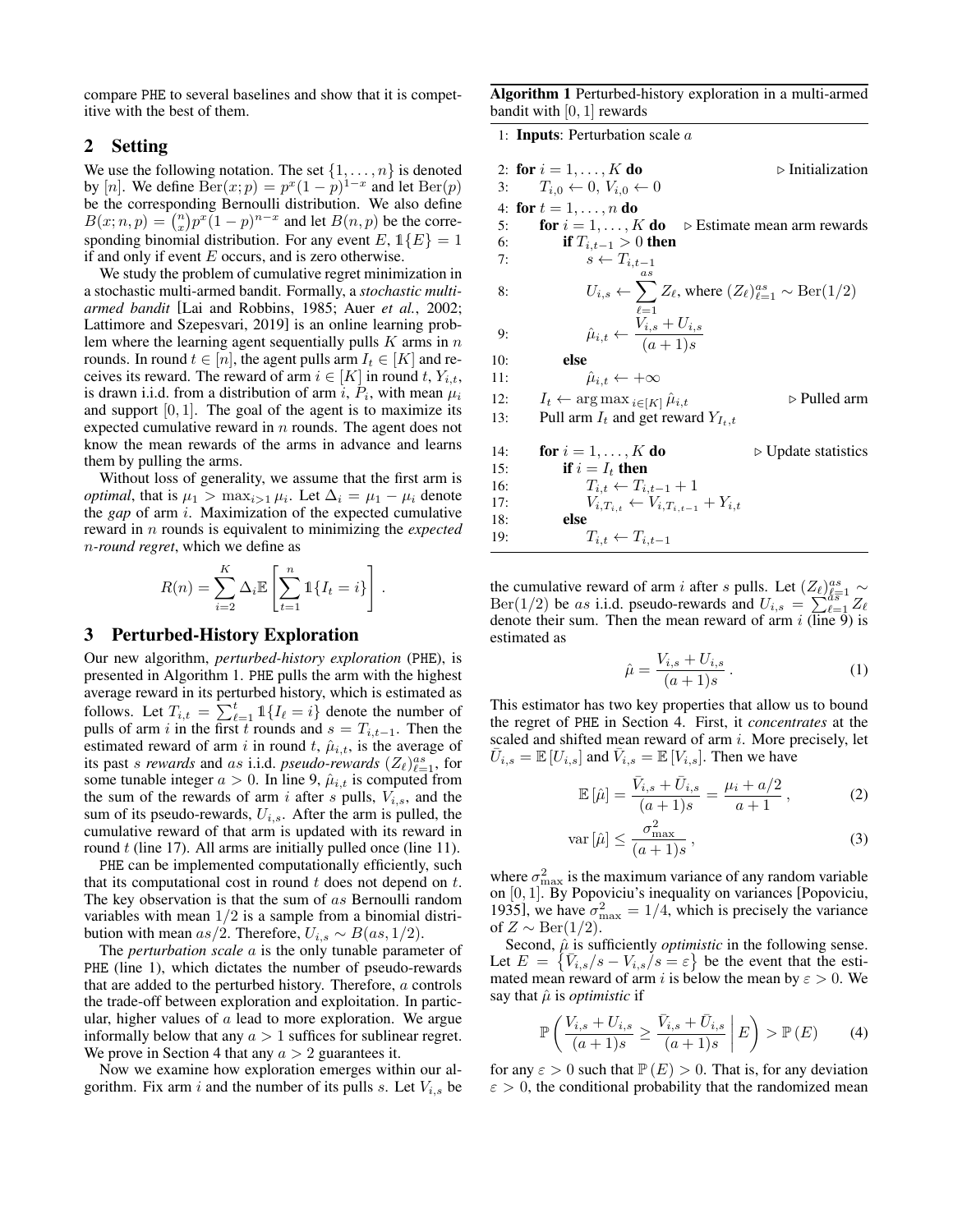compare PHE to several baselines and show that it is competitive with the best of them.

### 2 Setting

We use the following notation. The set  $\{1, \ldots, n\}$  is denote by [n]. We define  $\text{Ber}(x; p) = p^x (1 - p)^{1-x}$  and let  $\text{Ber}(p)$ be the corresponding Bernoulli distribution. We also define  $B(x; n, p) = {n \choose x} p^x (1-p)^{n-x}$  and let  $B(n, p)$  be the corresponding binomial distribution. For any event  $E, 1\{E\} =$ if and only if event  $E$  occurs, and is zero otherwise.

We study the problem of cumulative regret minimization in a stochastic multi-armed bandit. Formally, a *stochastic multiarmed bandit* [\[Lai and Robbins, 1985;](#page-7-0) Auer *et al.*[, 2002;](#page-6-0) [Lattimore and Szepesvari, 2019\]](#page-7-1) is an online learning problem where the learning agent sequentially pulls  $K$  arms in rounds. In round  $t \in [n]$ , the agent pulls arm  $I_t \in [K]$  and receives its reward. The reward of arm  $i \in [K]$  in round t,  $Y_i$ , is drawn i.i.d. from a distribution of arm i,  $P_i$ , with mean  $\mu_i$ and support  $[0, 1]$ . The goal of the agent is to maximize it expected cumulative reward in  $n$  rounds. The agent does no know the mean rewards of the arms in advance and learn them by pulling the arms.

Without loss of generality, we assume that the first arm *optimal*, that is  $\mu_1 > \max_{i>1} \mu_i$ . Let  $\Delta_i = \mu_1 - \mu_i$  denote the *gap* of arm *i*. Maximization of the expected cumulative reward in *n* rounds is equivalent to minimizing the *expecte* n*-round regret*, which we define as

$$
R(n) = \sum_{i=2}^{K} \Delta_i \mathbb{E}\left[\sum_{t=1}^{n} \mathbb{1}\{I_t = i\}\right].
$$

### <span id="page-1-8"></span>3 Perturbed-History Exploration

Our new algorithm, *perturbed-history exploration* (PHE), is presented in Algorithm [1.](#page-1-0) PHE pulls the arm with the highest average reward in its perturbed history, which is estimated as follows. Let  $T_{i,t} = \sum_{\ell=1}^t \mathbb{1}\{I_\ell = i\}$  denote the number of pulls of arm *i* in the first t rounds and  $s = T_{i,t-1}$ . Then the estimated reward of arm i in round t,  $\hat{\mu}_{i,t}$ , is the average of its past *s rewards* and *as* i.i.d. *pseudo-rewards*  $(Z_{\ell})_{\ell=1}^{as}$ , for some tunable integer  $a > 0$ . In line [9,](#page-1-1)  $\hat{\mu}_{i,t}$  is computed from the sum of the rewards of arm i after s pulls,  $V_{i,s}$ , and the sum of its pseudo-rewards,  $U_{i,s}$ . After the arm is pulled, the cumulative reward of that arm is updated with its reward in round  $t$  (line [17\)](#page-1-2). All arms are initially pulled once (line [11\)](#page-1-3).

PHE can be implemented computationally efficiently, such that its computational cost in round  $t$  does not depend on  $t$ . The key observation is that the sum of as Bernoulli random variables with mean  $1/2$  is a sample from a binomial distribution with mean as/2. Therefore,  $U_{i,s} \sim B(as, 1/2)$ .

The *perturbation scale* a is the only tunable parameter of PHE (line [1\)](#page-1-4), which dictates the number of pseudo-rewards that are added to the perturbed history. Therefore, a controls the trade-off between exploration and exploitation. In particular, higher values of  $a$  lead to more exploration. We argue informally below that any  $a > 1$  suffices for sublinear regret. We prove in Section [4](#page-2-0) that any  $a > 2$  guarantees it.

Now we examine how exploration emerges within our algorithm. Fix arm i and the number of its pulls s. Let  $V_{i,s}$  be <span id="page-1-0"></span>Algorithm 1 Perturbed-history exploration in a multi-armed bandit with [0, 1] rewards

<span id="page-1-4"></span>1: Inputs: Perturbation scale a

<span id="page-1-1"></span>

| ٠d                   |     | 2: for $i = 1, , K$ do                                        | $\triangleright$ Initialization                                                            |
|----------------------|-----|---------------------------------------------------------------|--------------------------------------------------------------------------------------------|
| ))                   | 3:  | $T_{i,0} \leftarrow 0, V_{i,0} \leftarrow 0$                  |                                                                                            |
| ιe                   |     | 4: for $t = 1, , n$ do                                        |                                                                                            |
| $\ddot{\phantom{0}}$ | 5:  | for $i = 1, \ldots, K$ do                                     | $\triangleright$ Estimate mean arm rewards                                                 |
| $\mathbf{1}$         | 6:  | if $T_{i,t-1} > 0$ then                                       |                                                                                            |
|                      | 7:  | $s \leftarrow T_{i,t-1}$                                      |                                                                                            |
| n                    |     |                                                               |                                                                                            |
| $\ddot{i}$           | 8:  |                                                               | $U_{i,s} \leftarrow \sum Z_{\ell}$ , where $(Z_{\ell})_{\ell=1}^{as} \sim \text{Ber}(1/2)$ |
| 2;                   |     |                                                               |                                                                                            |
| $\mathsf{P}$         | 9:  | $\hat{\mu}_{i,t} \leftarrow \frac{V_{i,s} + U_{i,s}}{(a+1)s}$ |                                                                                            |
| $\overline{n}$       |     |                                                               |                                                                                            |
| $\geq$               | 10: | else                                                          |                                                                                            |
| t,                   | 11: | $\hat{\mu}_{i,t} \leftarrow +\infty$                          |                                                                                            |
| $\iota_i$            | 12: | $I_t \leftarrow \arg \max_{i \in [K]} \hat{\mu}_{i,t}$        | ⊳ Pulled arm                                                                               |
| ts                   | 13: | Pull arm $I_t$ and get reward $Y_{I_t,t}$                     |                                                                                            |
| эt                   |     |                                                               |                                                                                            |
| ıs                   | 14: | for $i = 1, \ldots, K$ do                                     | $\triangleright$ Update statistics                                                         |
|                      | 15: | if $i = I_t$ then                                             |                                                                                            |
| is                   | 16: | $T_{i,t} \leftarrow T_{i,t-1} + 1$                            |                                                                                            |
| te                   | 17: | $V_{i,T_{i,t}} \leftarrow V_{i,T_{i,t-1}} + Y_{i,t}$          |                                                                                            |
| e                    | 18: | else                                                          |                                                                                            |
| ₫                    | 19: | $T_{i,t} \leftarrow T_{i,t-1}$                                |                                                                                            |
|                      |     |                                                               |                                                                                            |

<span id="page-1-3"></span><span id="page-1-2"></span>the cumulative reward of arm *i* after *s* pulls. Let  $(Z_{\ell})_{\ell=1}^{as} \sim$ Ber(1/2) be as i.i.d. pseudo-rewards and  $U_{i,s} = \sum_{\ell=1}^{s} Z_{\ell}$ denote their sum. Then the mean reward of arm  $i$  (line [9\)](#page-1-1) is estimated as

<span id="page-1-7"></span><span id="page-1-6"></span>
$$
\hat{\mu} = \frac{V_{i,s} + U_{i,s}}{(a+1)s}.
$$
\n(1)

This estimator has two key properties that allow us to bound the regret of PHE in Section [4.](#page-2-0) First, it *concentrates* at the scaled and shifted mean reward of arm *i*. More precisely, let  $\overline{U}_{i,s} = \mathbb{E} [U_{i,s}]$  and  $\overline{V}_{i,s} = \mathbb{E} [V_{i,s}]$ . Then we have

$$
\mathbb{E}[\hat{\mu}] = \frac{\bar{V}_{i,s} + \bar{U}_{i,s}}{(a+1)s} = \frac{\mu_i + a/2}{a+1},
$$
 (2)

$$
\operatorname{var}\left[\hat{\mu}\right] \le \frac{\sigma_{\max}^2}{(a+1)s},\tag{3}
$$

where  $\sigma_{\max}^2$  is the maximum variance of any random variable on [0, 1]. By Popoviciu's inequality on variances [\[Popoviciu,](#page-7-14) [1935\]](#page-7-14), we have  $\sigma_{\text{max}}^2 = 1/4$ , which is precisely the variance of  $Z \sim \text{Ber}(1/2)$ .

Second,  $\hat{\mu}$  is sufficiently *optimistic* in the following sense. Let  $E = \{ \overline{V}_{i,s}/s - V_{i,s}/s = \varepsilon \}$  be the event that the estimated mean reward of arm i is below the mean by  $\varepsilon > 0$ . We say that  $\hat{\mu}$  is *optimistic* if

<span id="page-1-5"></span>
$$
\mathbb{P}\left(\frac{V_{i,s} + U_{i,s}}{(a+1)s} \ge \frac{\bar{V}_{i,s} + \bar{U}_{i,s}}{(a+1)s} \middle| E\right) > \mathbb{P}\left(E\right) \tag{4}
$$

for any  $\varepsilon > 0$  such that  $\mathbb{P}(E) > 0$ . That is, for any deviation  $\varepsilon > 0$ , the conditional probability that the randomized mean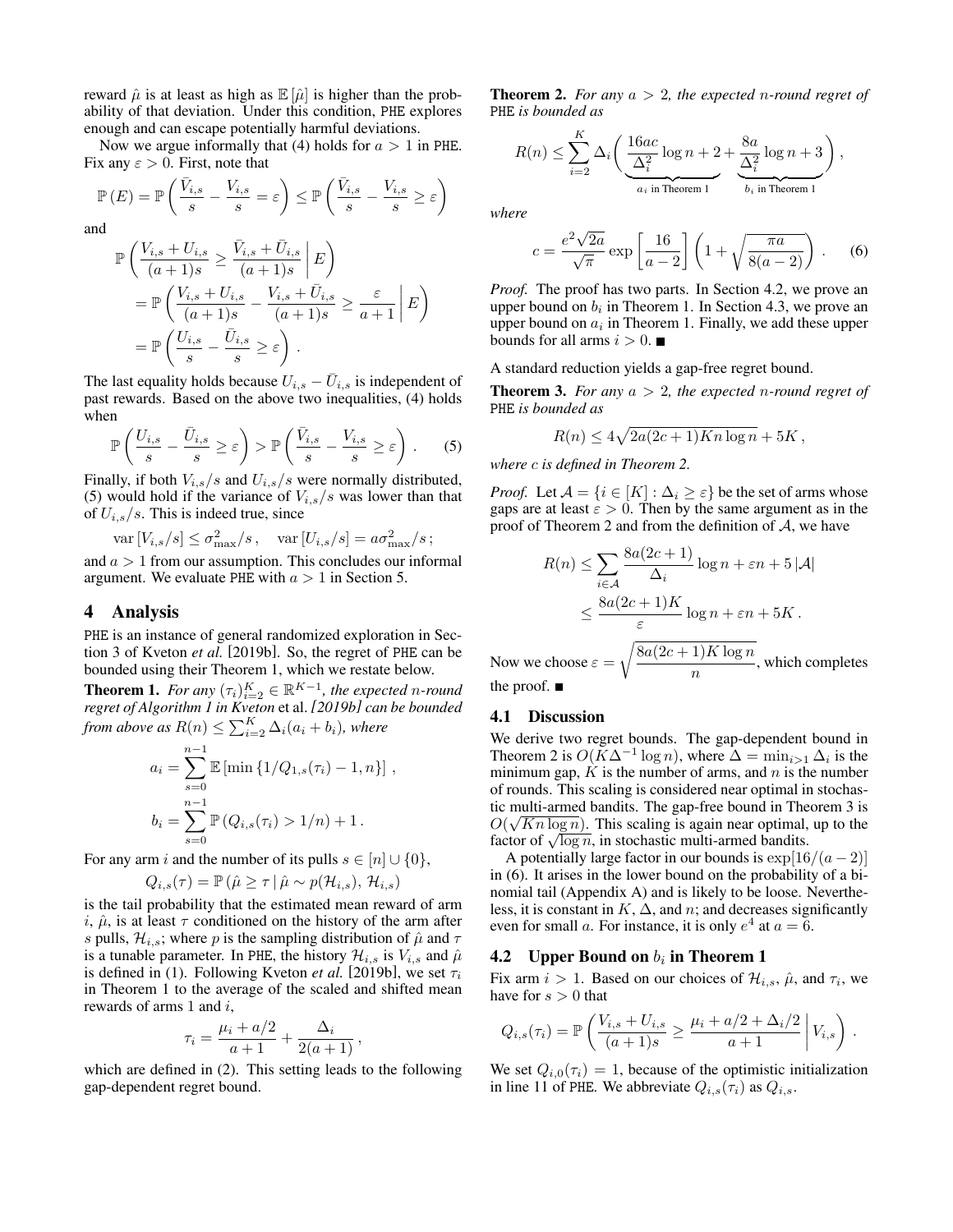reward  $\hat{\mu}$  is at least as high as  $\mathbb{E}[\hat{\mu}]$  is higher than the probability of that deviation. Under this condition, PHE explores enough and can escape potentially harmful deviations.

Now we argue informally that [\(4\)](#page-1-5) holds for  $a > 1$  in PHE. Fix any  $\varepsilon > 0$ . First, note that

$$
\mathbb{P}(E) = \mathbb{P}\left(\frac{\bar{V}_{i,s}}{s} - \frac{V_{i,s}}{s} = \varepsilon\right) \le \mathbb{P}\left(\frac{\bar{V}_{i,s}}{s} - \frac{V_{i,s}}{s} \ge \varepsilon\right)
$$

and

$$
\mathbb{P}\left(\frac{V_{i,s} + U_{i,s}}{(a+1)s} \ge \frac{\bar{V}_{i,s} + \bar{U}_{i,s}}{(a+1)s} \middle| E\right)
$$
  
= 
$$
\mathbb{P}\left(\frac{V_{i,s} + U_{i,s}}{(a+1)s} - \frac{V_{i,s} + \bar{U}_{i,s}}{(a+1)s} \ge \frac{\varepsilon}{a+1} \middle| E\right)
$$
  
= 
$$
\mathbb{P}\left(\frac{U_{i,s}}{s} - \frac{\bar{U}_{i,s}}{s} \ge \varepsilon\right).
$$

The last equality holds because  $U_{i,s} - \overline{U}_{i,s}$  is independent of past rewards. Based on the above two inequalities, [\(4\)](#page-1-5) holds when

$$
\mathbb{P}\left(\frac{U_{i,s}}{s} - \frac{\bar{U}_{i,s}}{s} \ge \varepsilon\right) > \mathbb{P}\left(\frac{\bar{V}_{i,s}}{s} - \frac{V_{i,s}}{s} \ge \varepsilon\right) \,. \tag{5}
$$

Finally, if both  $V_{i,s}/s$  and  $U_{i,s}/s$  were normally distributed, [\(5\)](#page-2-1) would hold if the variance of  $V_{i,s}/s$  was lower than that of  $U_{i,s}/s$ . This is indeed true, since

var 
$$
[V_{i,s}/s] \le \sigma_{\max}^2 / s
$$
, var  $[U_{i,s}/s] = a\sigma_{\max}^2 / s$ ;  
and  $a > 1$  from our assumption. This concludes our informal  
argument. We evaluate PHE with  $a > 1$  in Section 5.

### <span id="page-2-0"></span>4 Analysis

PHE is an instance of general randomized exploration in Section 3 of [Kveton](#page-7-15) *et al.* [\[2019b\]](#page-7-15). So, the regret of PHE can be bounded using their Theorem 1, which we restate below.

<span id="page-2-2"></span>**Theorem 1.** For any  $(\tau_i)_{i=2}^K \in \mathbb{R}^{K-1}$ , the expected n-round *regret of Algorithm 1 in [Kveton](#page-7-15)* et al. *[\[2019b\]](#page-7-15) can be bounded* from above as  $R(n) \leq \sum_{i=2}^{K} \Delta_i(a_i + b_i)$ *, where* 

$$
a_i = \sum_{s=0}^{n-1} \mathbb{E} [\min \{1/Q_{1,s}(\tau_i) - 1, n\}],
$$
  

$$
b_i = \sum_{s=0}^{n-1} \mathbb{P}(Q_{i,s}(\tau_i) > 1/n) + 1.
$$

For any arm i and the number of its pulls  $s \in [n] \cup \{0\},\$ 

$$
Q_{i,s}(\tau) = \mathbb{P}\left(\hat{\mu} \ge \tau \,|\, \hat{\mu} \sim p(\mathcal{H}_{i,s}), \mathcal{H}_{i,s}\right)
$$

is the tail probability that the estimated mean reward of arm i,  $\hat{\mu}$ , is at least  $\tau$  conditioned on the history of the arm after s pulls,  $\mathcal{H}_{i,s}$ ; where p is the sampling distribution of  $\hat{\mu}$  and  $\tau$ is a tunable parameter. In PHE, the history  $\mathcal{H}_{i,s}$  is  $V_{i,s}$  and  $\hat{\mu}$ is defined in [\(1\)](#page-1-6). Following [Kveton](#page-7-15) *et al.* [\[2019b\]](#page-7-15), we set  $\tau_i$ in Theorem [1](#page-2-2) to the average of the scaled and shifted mean rewards of arms 1 and  $i$ ,

$$
\tau_i = \frac{\mu_i + a/2}{a+1} + \frac{\Delta_i}{2(a+1)},
$$

<span id="page-2-4"></span>which are defined in [\(2\)](#page-1-7). This setting leads to the following gap-dependent regret bound.

Theorem 2. *For any* a > 2*, the expected* n*-round regret of* PHE *is bounded as*

$$
R(n) \leq \sum_{i=2}^{K} \Delta_i \left( \underbrace{\frac{16ac}{\Delta_i^2} \log n + 2}_{a_i \text{ in Theorem 1}} + \underbrace{\frac{8a}{\Delta_i^2} \log n + 3}_{b_i \text{ in Theorem 1}} \right),
$$

*where*

<span id="page-2-6"></span>
$$
c = \frac{e^2 \sqrt{2a}}{\sqrt{\pi}} \exp\left[\frac{16}{a-2}\right] \left(1 + \sqrt{\frac{\pi a}{8(a-2)}}\right). \tag{6}
$$

*Proof.* The proof has two parts. In Section [4.2,](#page-2-3) we prove an upper bound on  $b_i$  in Theorem [1.](#page-2-2) In Section [4.3,](#page-3-1) we prove an upper bound on  $a_i$  in Theorem [1.](#page-2-2) Finally, we add these upper bounds for all arms  $i > 0$ .

A standard reduction yields a gap-free regret bound.

<span id="page-2-5"></span>Theorem 3. *For any* a > 2*, the expected* n*-round regret of* PHE *is bounded as*

$$
R(n) \le 4\sqrt{2a(2c+1)Kn\log n} + 5K,
$$

<span id="page-2-1"></span>*where* c *is defined in Theorem [2.](#page-2-4)*

*Proof.* Let  $\mathcal{A} = \{i \in [K] : \Delta_i \geq \varepsilon\}$  be the set of arms whose gaps are at least  $\varepsilon > 0$ . Then by the same argument as in the proof of Theorem [2](#page-2-4) and from the definition of  $A$ , we have

$$
R(n) \le \sum_{i \in \mathcal{A}} \frac{8a(2c+1)}{\Delta_i} \log n + \varepsilon n + 5 |\mathcal{A}|
$$
  

$$
\le \frac{8a(2c+1)K}{\varepsilon} \log n + \varepsilon n + 5K.
$$

Now we choose  $\varepsilon =$  $\sqrt{8a(2c+1)K\log n}$  $\frac{1}{n}$ , which completes the proof.  $\blacksquare$ 

#### 4.1 Discussion

We derive two regret bounds. The gap-dependent bound in Theorem [2](#page-2-4) is  $O(K\Delta^{-1}\log n)$ , where  $\Delta = \min_{i>1} \Delta_i$  is the minimum gap,  $\hat{K}$  is the number of arms, and  $\hat{n}$  is the number of rounds. This scaling is considered near optimal in stochastic multi-armed bandits. The gap-free bound in Theorem [3](#page-2-5) is √  $O(\sqrt{Kn \log n})$ . This scaling is again near optimal, up to the  $O(\sqrt{Kn \log n})$ . This scaling is again near optimal, factor of  $\sqrt{\log n}$ , in stochastic multi-armed bandits.

A potentially large factor in our bounds is  $\exp[16/(a-2)]$ in [\(6\)](#page-2-6). It arises in the lower bound on the probability of a binomial tail (Appendix [A\)](#page-5-0) and is likely to be loose. Nevertheless, it is constant in  $K$ ,  $\Delta$ , and n; and decreases significantly even for small a. For instance, it is only  $e^4$  at  $a = 6$ .

## <span id="page-2-3"></span>**4.2** Upper Bound on  $b_i$  in Theorem [1](#page-2-2)

Fix arm  $i > 1$ . Based on our choices of  $\mathcal{H}_{i,s}$ ,  $\hat{\mu}$ , and  $\tau_i$ , we have for  $s > 0$  that

$$
Q_{i,s}(\tau_i) = \mathbb{P}\left(\frac{V_{i,s} + U_{i,s}}{(a+1)s} \ge \frac{\mu_i + a/2 + \Delta_i/2}{a+1} \middle| V_{i,s}\right).
$$

We set  $Q_{i,0}(\tau_i) = 1$ , because of the optimistic initialization in line [11](#page-1-3) of PHE. We abbreviate  $Q_{i,s}(\tau_i)$  as  $Q_{i,s}$ .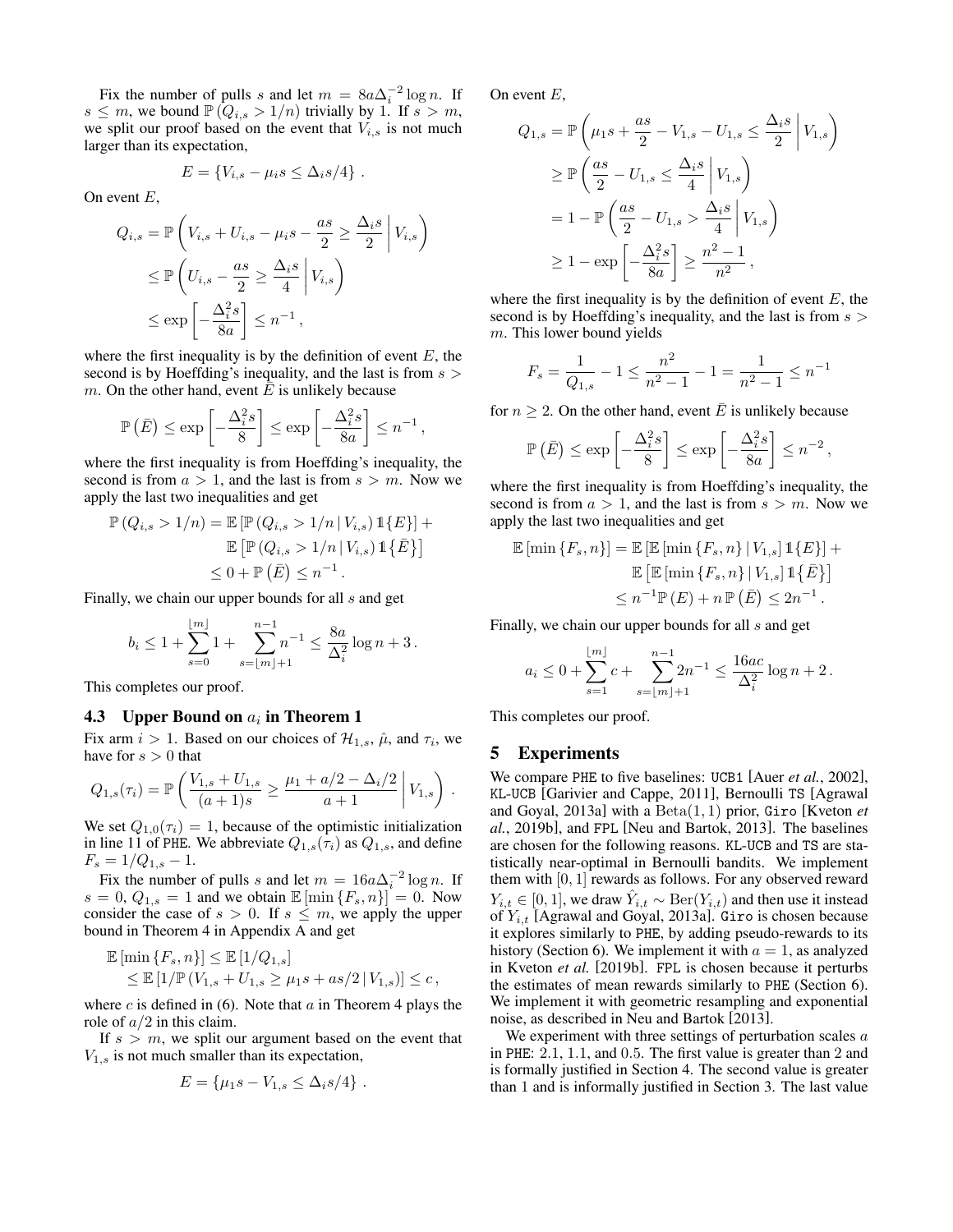Fix the number of pulls s and let  $m = 8a\Delta_i^{-2} \log n$ . If  $s \leq m$ , we bound  $\mathbb{P}(Q_{i,s} > 1/n)$  trivially by 1. If  $s > m$ , we split our proof based on the event that  $V_{i,s}$  is not much larger than its expectation,

$$
E = \{V_{i,s} - \mu_i s \leq \Delta_i s/4\}.
$$

On event  $E$ ,

$$
Q_{i,s} = \mathbb{P}\left(V_{i,s} + U_{i,s} - \mu_i s - \frac{as}{2} \ge \frac{\Delta_i s}{2} \middle| V_{i,s}\right)
$$
  
\n
$$
\le \mathbb{P}\left(U_{i,s} - \frac{as}{2} \ge \frac{\Delta_i s}{4} \middle| V_{i,s}\right)
$$
  
\n
$$
\le \exp\left[-\frac{\Delta_i^2 s}{8a}\right] \le n^{-1},
$$

where the first inequality is by the definition of event  $E$ , the second is by Hoeffding's inequality, and the last is from  $s >$ m. On the other hand, event  $\overline{E}$  is unlikely because

$$
\mathbb{P}\left(\bar{E}\right) \le \exp\left[-\frac{\Delta_i^2 s}{8}\right] \le \exp\left[-\frac{\Delta_i^2 s}{8a}\right] \le n^{-1},
$$

where the first inequality is from Hoeffding's inequality, the second is from  $a > 1$ , and the last is from  $s > m$ . Now we apply the last two inequalities and get

$$
\mathbb{P}(Q_{i,s} > 1/n) = \mathbb{E}\left[\mathbb{P}(Q_{i,s} > 1/n \mid V_{i,s}) \mathbb{1}\{E\}\right] + \mathbb{E}\left[\mathbb{P}(Q_{i,s} > 1/n \mid V_{i,s}) \mathbb{1}\{\bar{E}\}\right] \leq 0 + \mathbb{P}(\bar{E}) \leq n^{-1}.
$$

Finally, we chain our upper bounds for all s and get

$$
b_i \leq 1 + \sum_{s=0}^{\lfloor m \rfloor} 1 + \sum_{s=\lfloor m \rfloor + 1}^{n-1} n^{-1} \leq \frac{8a}{\Delta_i^2} \log n + 3.
$$

This completes our proof.

## <span id="page-3-1"></span>**4.3** Upper Bound on  $a_i$  in Theorem [1](#page-2-2)

Fix arm  $i > 1$ . Based on our choices of  $\mathcal{H}_{1,s}$ ,  $\hat{\mu}$ , and  $\tau_i$ , we have for  $s > 0$  that

$$
Q_{1,s}(\tau_i) = \mathbb{P}\left(\frac{V_{1,s} + U_{1,s}}{(a+1)s} \ge \frac{\mu_1 + a/2 - \Delta_i/2}{a+1} \middle| V_{1,s}\right).
$$

We set  $Q_{1,0}(\tau_i) = 1$ , because of the optimistic initialization in line [11](#page-1-3) of PHE. We abbreviate  $Q_{1,s}(\tau_i)$  as  $Q_{1,s}$ , and define  $F_s = 1/Q_{1,s} - 1.$ 

Fix the number of pulls s and let  $m = 16a\Delta_i^{-2} \log n$ . If  $s = 0$ ,  $Q_{1,s} = 1$  and we obtain  $\mathbb{E} [\min\{F_s, n\}] = 0$ . Now consider the case of  $s > 0$ . If  $s \leq m$ , we apply the upper bound in Theorem [4](#page-5-1) in Appendix [A](#page-5-0) and get

$$
\mathbb{E} [\min \{ F_s, n \}] \leq \mathbb{E} [1/Q_{1,s}]
$$
  
 
$$
\leq \mathbb{E} [1/\mathbb{P} (V_{1,s} + U_{1,s} \geq \mu_1 s + as/2 | V_{1,s})] \leq c,
$$

where c is defined in [\(6\)](#page-2-6). Note that  $\alpha$  in Theorem [4](#page-5-1) plays the role of  $a/2$  in this claim.

If  $s > m$ , we split our argument based on the event that  $V_{1,s}$  is not much smaller than its expectation,

$$
E = \{\mu_1 s - V_{1,s} \leq \Delta_i s / 4\} .
$$

On event  $E$ ,

$$
Q_{1,s} = \mathbb{P}\left(\mu_1 s + \frac{as}{2} - V_{1,s} - U_{1,s} \le \frac{\Delta_i s}{2} \middle| V_{1,s}\right)
$$
  
\n
$$
\ge \mathbb{P}\left(\frac{as}{2} - U_{1,s} \le \frac{\Delta_i s}{4} \middle| V_{1,s}\right)
$$
  
\n
$$
= 1 - \mathbb{P}\left(\frac{as}{2} - U_{1,s} > \frac{\Delta_i s}{4} \middle| V_{1,s}\right)
$$
  
\n
$$
\ge 1 - \exp\left[-\frac{\Delta_i^2 s}{8a}\right] \ge \frac{n^2 - 1}{n^2},
$$

where the first inequality is by the definition of event  $E$ , the second is by Hoeffding's inequality, and the last is from  $s >$ m. This lower bound yields

$$
F_s = \frac{1}{Q_{1,s}} - 1 \le \frac{n^2}{n^2 - 1} - 1 = \frac{1}{n^2 - 1} \le n^{-1}
$$

for  $n \geq 2$ . On the other hand, event  $\overline{E}$  is unlikely because

$$
\mathbb{P}\left(\bar{E}\right) \le \exp\left[-\frac{\Delta_i^2 s}{8}\right] \le \exp\left[-\frac{\Delta_i^2 s}{8a}\right] \le n^{-2},
$$

where the first inequality is from Hoeffding's inequality, the second is from  $a > 1$ , and the last is from  $s > m$ . Now we apply the last two inequalities and get

$$
\mathbb{E} [\min \{F_s, n\}] = \mathbb{E} [\mathbb{E} [\min \{F_s, n\} | V_{1,s}] \mathbbm{1}\{E\}] +
$$
  

$$
\mathbb{E} [\mathbb{E} [\min \{F_s, n\} | V_{1,s}] \mathbbm{1}\{\bar{E}\}]
$$
  

$$
\leq n^{-1} \mathbb{P}(E) + n \mathbb{P}(\bar{E}) \leq 2n^{-1}.
$$

Finally, we chain our upper bounds for all s and get

$$
a_i \leq 0 + \sum_{s=1}^{\lfloor m \rfloor} c + \sum_{s=\lfloor m \rfloor+1}^{n-1} 2n^{-1} \leq \frac{16ac}{\Delta_i^2} \log n + 2.
$$

This completes our proof.

## <span id="page-3-0"></span>5 Experiments

We compare PHE to five baselines: UCB1 [Auer *et al.*[, 2002\]](#page-6-0), KL-UCB [\[Garivier and Cappe, 2011\]](#page-6-3), Bernoulli TS [\[Agrawal](#page-6-4) [and Goyal, 2013a\]](#page-6-4) with a Beta(1, 1) prior, Giro [\[Kveton](#page-7-15) *et al.*[, 2019b\]](#page-7-15), and FPL [\[Neu and Bartok, 2013\]](#page-7-16). The baselines are chosen for the following reasons. KL-UCB and TS are statistically near-optimal in Bernoulli bandits. We implement them with  $[0, 1]$  rewards as follows. For any observed reward  $Y_{i,t} \in [0,1]$ , we draw  $\hat{Y}_{i,t} \sim \text{Ber}(Y_{i,t})$  and then use it instead of  $Y_{i,t}$  [\[Agrawal and Goyal, 2013a\]](#page-6-4). Giro is chosen because it explores similarly to PHE, by adding pseudo-rewards to its history (Section [6\)](#page-4-0). We implement it with  $a = 1$ , as analyzed in [Kveton](#page-7-15) *et al.* [\[2019b\]](#page-7-15). FPL is chosen because it perturbs the estimates of mean rewards similarly to PHE (Section [6\)](#page-4-0). We implement it with geometric resampling and exponential noise, as described in [Neu and Bartok](#page-7-16) [\[2013\]](#page-7-16).

We experiment with three settings of perturbation scales  $a$ in PHE: 2.1, 1.1, and 0.5. The first value is greater than 2 and is formally justified in Section [4.](#page-2-0) The second value is greater than 1 and is informally justified in Section [3.](#page-1-8) The last value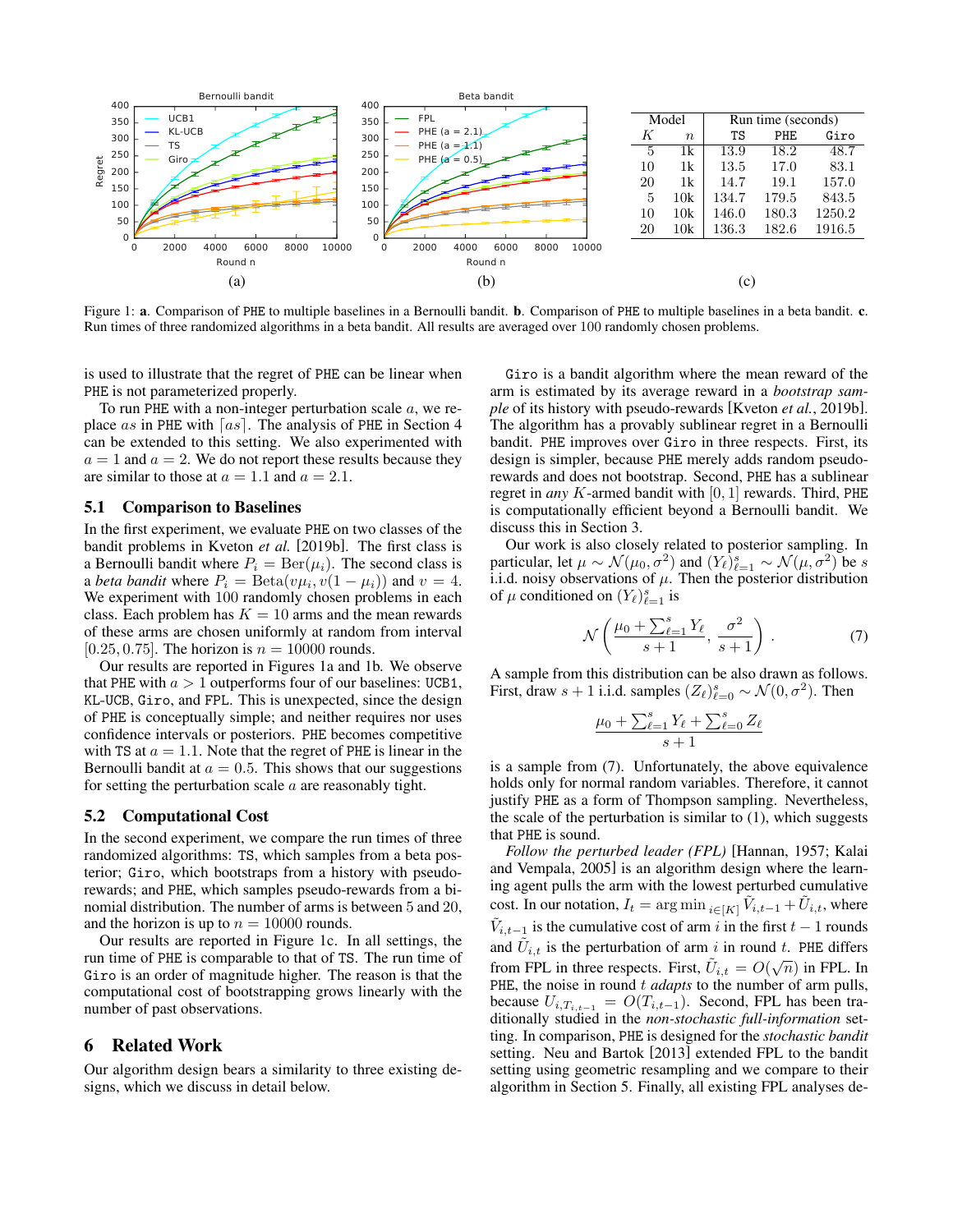<span id="page-4-1"></span>

Figure 1: a. Comparison of PHE to multiple baselines in a Bernoulli bandit. b. Comparison of PHE to multiple baselines in a beta bandit. c. Run times of three randomized algorithms in a beta bandit. All results are averaged over 100 randomly chosen problems.

is used to illustrate that the regret of PHE can be linear when PHE is not parameterized properly.

To run PHE with a non-integer perturbation scale  $a$ , we re-place as in PHE with [as]. The analysis of PHE in Section [4](#page-2-0) can be extended to this setting. We also experimented with  $a = 1$  and  $a = 2$ . We do not report these results because they are similar to those at  $a = 1.1$  and  $a = 2.1$ .

#### 5.1 Comparison to Baselines

In the first experiment, we evaluate PHE on two classes of the bandit problems in [Kveton](#page-7-15) *et al.* [\[2019b\]](#page-7-15). The first class is a Bernoulli bandit where  $P_i = \text{Ber}(\mu_i)$ . The second class is a *beta bandit* where  $P_i = \text{Beta}(v\mu_i, v(1 - \mu_i))$  and  $v = 4$ . We experiment with 100 randomly chosen problems in each class. Each problem has  $K = 10$  arms and the mean rewards of these arms are chosen uniformly at random from interval [0.25, 0.75]. The horizon is  $n = 10000$  rounds.

Our results are reported in Figures [1a](#page-4-1) and [1b](#page-4-1). We observe that PHE with  $a > 1$  outperforms four of our baselines: UCB1, KL-UCB, Giro, and FPL. This is unexpected, since the design of PHE is conceptually simple; and neither requires nor uses confidence intervals or posteriors. PHE becomes competitive with TS at  $a = 1.1$ . Note that the regret of PHE is linear in the Bernoulli bandit at  $a = 0.5$ . This shows that our suggestions for setting the perturbation scale  $a$  are reasonably tight.

#### 5.2 Computational Cost

In the second experiment, we compare the run times of three randomized algorithms: TS, which samples from a beta posterior; Giro, which bootstraps from a history with pseudorewards; and PHE, which samples pseudo-rewards from a binomial distribution. The number of arms is between 5 and 20, and the horizon is up to  $n = 10000$  rounds.

Our results are reported in Figure [1c](#page-4-1). In all settings, the run time of PHE is comparable to that of TS. The run time of Giro is an order of magnitude higher. The reason is that the computational cost of bootstrapping grows linearly with the number of past observations.

### <span id="page-4-0"></span>6 Related Work

Our algorithm design bears a similarity to three existing designs, which we discuss in detail below.

Giro is a bandit algorithm where the mean reward of the arm is estimated by its average reward in a *bootstrap sample* of its history with pseudo-rewards [Kveton *et al.*[, 2019b\]](#page-7-15). The algorithm has a provably sublinear regret in a Bernoulli bandit. PHE improves over Giro in three respects. First, its design is simpler, because PHE merely adds random pseudorewards and does not bootstrap. Second, PHE has a sublinear regret in *any* K-armed bandit with [0, 1] rewards. Third, PHE is computationally efficient beyond a Bernoulli bandit. We discuss this in Section [3.](#page-1-8)

Our work is also closely related to posterior sampling. In particular, let  $\mu \sim \mathcal{N}(\mu_0, \sigma^2)$  and  $(Y_{\ell})_{\ell=1}^s \sim \mathcal{N}(\mu, \sigma^2)$  be s i.i.d. noisy observations of  $\mu$ . Then the posterior distribution of  $\mu$  conditioned on  $(Y_{\ell})_{\ell=1}^{s}$  is

<span id="page-4-2"></span>
$$
\mathcal{N}\left(\frac{\mu_0 + \sum_{\ell=1}^s Y_\ell}{s+1}, \frac{\sigma^2}{s+1}\right). \tag{7}
$$

A sample from this distribution can be also drawn as follows. First, draw  $s + 1$  i.i.d. samples  $(Z_{\ell})_{\ell=0}^s \sim \mathcal{N}(0, \sigma^2)$ . Then

$$
\frac{\mu_0 + \sum_{\ell=1}^s Y_\ell + \sum_{\ell=0}^s Z_\ell}{s+1}
$$

is a sample from [\(7\)](#page-4-2). Unfortunately, the above equivalence holds only for normal random variables. Therefore, it cannot justify PHE as a form of Thompson sampling. Nevertheless, the scale of the perturbation is similar to  $(1)$ , which suggests that PHE is sound.

*Follow the perturbed leader (FPL)* [\[Hannan, 1957;](#page-6-11) [Kalai](#page-6-12) [and Vempala, 2005\]](#page-6-12) is an algorithm design where the learning agent pulls the arm with the lowest perturbed cumulative cost. In our notation,  $I_t = \arg \min_{i \in [K]} \tilde{V}_{i,t-1} + \tilde{U}_{i,t}$ , where  $\tilde{V}_{i,t-1}$  is the cumulative cost of arm i in the first  $t-1$  rounds and  $\tilde{U}_{i,t}$  is the perturbation of arm i in round t. PHE differs from FPL in three respects. First,  $\tilde{U}_{i,t} = O(\sqrt{n})$  in FPL. In PHE, the noise in round t *adapts* to the number of arm pulls, because  $U_{i,T_{i,t-1}} = O(T_{i,t-1})$ . Second, FPL has been traditionally studied in the *non-stochastic full-information* setting. In comparison, PHE is designed for the *stochastic bandit* setting. [Neu and Bartok](#page-7-16) [\[2013\]](#page-7-16) extended FPL to the bandit setting using geometric resampling and we compare to their algorithm in Section [5.](#page-3-0) Finally, all existing FPL analyses de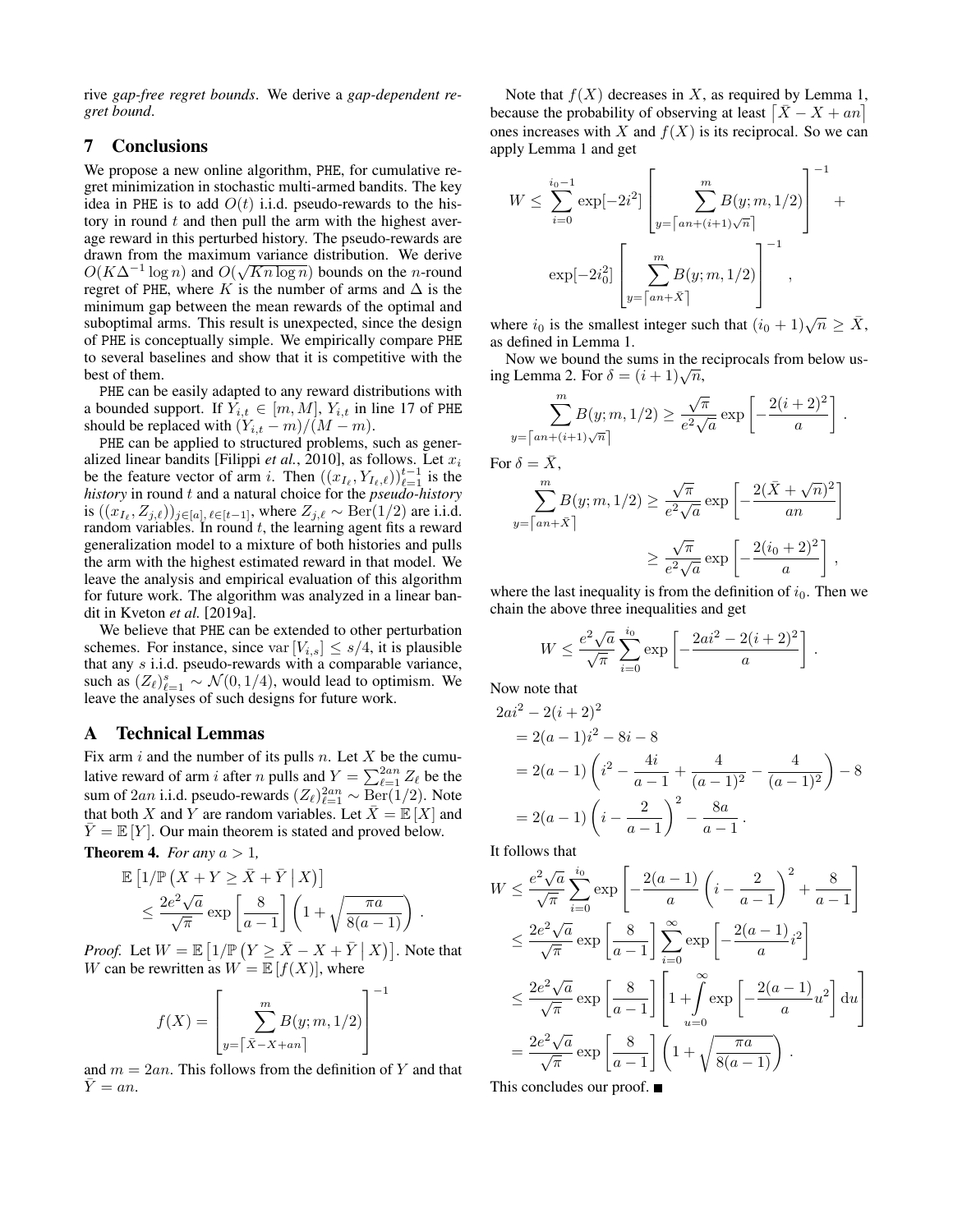rive *gap-free regret bounds*. We derive a *gap-dependent regret bound*.

## 7 Conclusions

We propose a new online algorithm, PHE, for cumulative regret minimization in stochastic multi-armed bandits. The key idea in PHE is to add  $O(t)$  i.i.d. pseudo-rewards to the history in round  $t$  and then pull the arm with the highest average reward in this perturbed history. The pseudo-rewards are drawn from the maximum variance distribution. We derive  $O(K\Delta^{-1}\log n)$  and  $O(\sqrt{Kn\log n})$  bounds on the *n*-round regret of PHE, where K is the number of arms and  $\Delta$  is the minimum gap between the mean rewards of the optimal and suboptimal arms. This result is unexpected, since the design of PHE is conceptually simple. We empirically compare PHE to several baselines and show that it is competitive with the best of them.

PHE can be easily adapted to any reward distributions with a bounded support. If  $Y_{i,t} \in [m, M]$ ,  $Y_{i,t}$  in line [17](#page-1-2) of PHE should be replaced with  $(Y_{i,t} - m)/(M - m)$ .

PHE can be applied to structured problems, such as gener-alized linear bandits [\[Filippi](#page-6-6)  $et$   $al$ , 2010], as follows. Let  $x_i$ be the feature vector of arm i. Then  $((x_{I_{\ell}}, Y_{I_{\ell},\ell}))_{\ell=1}^{t-1}$  is the *history* in round t and a natural choice for the *pseudo-history* is  $((x_{I_\ell}, Z_{j,\ell}))_{j\in [a], \ell \in [t-1]},$  where  $Z_{j,\ell} \sim \text{Ber}(1/2)$  are i.i.d. random variables. In round  $t$ , the learning agent fits a reward generalization model to a mixture of both histories and pulls the arm with the highest estimated reward in that model. We leave the analysis and empirical evaluation of this algorithm for future work. The algorithm was analyzed in a linear bandit in [Kveton](#page-7-17) *et al.* [\[2019a\]](#page-7-17).

We believe that PHE can be extended to other perturbation schemes. For instance, since var  $[V_{i,s}] \leq s/4$ , it is plausible that any s i.i.d. pseudo-rewards with a comparable variance, such as  $(Z_{\ell})_{\ell=1}^s \sim \mathcal{N}(0, 1/4)$ , would lead to optimism. We leave the analyses of such designs for future work.

## <span id="page-5-0"></span>A Technical Lemmas

Fix arm  $i$  and the number of its pulls  $n$ . Let  $X$  be the cumulative reward of arm *i* after *n* pulls and  $Y = \sum_{\ell=1}^{2an} Z_{\ell}$  be the sum of 2an i.i.d. pseudo-rewards  $(Z_{\ell})_{\ell=1}^{2an} \sim \text{Ber}(1/2)$ . Note that both X and Y are random variables. Let  $\bar{X} = \mathbb{E}[X]$  and  $Y = \mathbb{E} |Y|$ . Our main theorem is stated and proved below.

<span id="page-5-1"></span>**Theorem 4.** *For any*  $a > 1$ *,* 

$$
\mathbb{E}\left[1/\mathbb{P}\left(X+Y\geq \bar{X}+\bar{Y}\mid X\right)\right] \leq \frac{2e^2\sqrt{a}}{\sqrt{\pi}}\exp\left[\frac{8}{a-1}\right]\left(1+\sqrt{\frac{\pi a}{8(a-1)}}\right).
$$

*Proof.* Let  $W = \mathbb{E} \left[ 1/\mathbb{P} \left( Y \ge \bar{X} - X + \bar{Y} \mid X \right) \right]$ . Note that W can be rewritten as  $W = \mathbb{E}[f(X)]$ , where

−1

$$
f(X) = \left[\sum_{y=\lceil \bar{X} - X + an \rceil}^{m} B(y; m, 1/2)\right]^{-1}
$$

and  $m = 2an$ . This follows from the definition of Y and that  $\overline{Y} = an$ .

Note that  $f(X)$  decreases in X, as required by Lemma [1,](#page-5-2) because the probability of observing at least  $\left[\bar{X} - X + an\right]$ ones increases with X and  $f(X)$  is its reciprocal. So we can apply Lemma [1](#page-5-2) and get

$$
W \leq \sum_{i=0}^{i_0-1} \exp[-2i^2] \left[ \sum_{y=\lceil an+(i+1)\sqrt{n} \rceil}^{m} B(y; m, 1/2) \right]^{-1} + \exp[-2i_0^2] \left[ \sum_{y=\lceil an+\bar{X} \rceil}^{m} B(y; m, 1/2) \right]^{-1},
$$

where  $i_0$  is the smallest integer such that  $(i_0 + 1)\sqrt{n} \ge \overline{X}$ , as defined in Lemma [1.](#page-5-2)

Now we bound the sums in the reciprocals from below us-Now we bound the sums in the independent in the sum  $\delta = (i+1)\sqrt{n}$ ,

$$
\sum_{y=\lceil an+(i+1)\sqrt{n}\rceil}^{m} B(y; m, 1/2) \ge \frac{\sqrt{\pi}}{e^2 \sqrt{a}} \exp \left[ -\frac{2(i+2)^2}{a} \right].
$$

For  $\delta = \bar{X}$ ,

$$
\sum_{y=\lceil an+\bar{X}\rceil}^{m} B(y; m, 1/2) \ge \frac{\sqrt{\pi}}{e^2 \sqrt{a}} \exp\left[-\frac{2(\bar{X} + \sqrt{n})^2}{an}\right]
$$

$$
\ge \frac{\sqrt{\pi}}{e^2 \sqrt{a}} \exp\left[-\frac{2(i_0 + 2)^2}{a}\right],
$$

where the last inequality is from the definition of  $i_0$ . Then we chain the above three inequalities and get

$$
W \le \frac{e^2 \sqrt{a}}{\sqrt{\pi}} \sum_{i=0}^{i_0} \exp\left[-\frac{2ai^2 - 2(i+2)^2}{a}\right]
$$

.

Now note that

$$
2ai2 - 2(i + 2)2
$$
  
= 2(a - 1)i<sup>2</sup> - 8i - 8  
= 2(a - 1) (i<sup>2</sup> -  $\frac{4i}{a - 1}$  +  $\frac{4}{(a - 1)^2}$  -  $\frac{4}{(a - 1)^2}$ ) - 8  
= 2(a - 1) (i -  $\frac{2}{a - 1}$ )<sup>2</sup> -  $\frac{8a}{a - 1}$ .

It follows that

$$
W \leq \frac{e^2 \sqrt{a}}{\sqrt{\pi}} \sum_{i=0}^{i_0} \exp\left[-\frac{2(a-1)}{a} \left(i - \frac{2}{a-1}\right)^2 + \frac{8}{a-1}\right]
$$
  

$$
\leq \frac{2e^2 \sqrt{a}}{\sqrt{\pi}} \exp\left[\frac{8}{a-1}\right] \sum_{i=0}^{\infty} \exp\left[-\frac{2(a-1)}{a}i^2\right]
$$
  

$$
\leq \frac{2e^2 \sqrt{a}}{\sqrt{\pi}} \exp\left[\frac{8}{a-1}\right] \left[1 + \int_{u=0}^{\infty} \exp\left[-\frac{2(a-1)}{a}u^2\right] du\right]
$$
  

$$
= \frac{2e^2 \sqrt{a}}{\sqrt{\pi}} \exp\left[\frac{8}{a-1}\right] \left(1 + \sqrt{\frac{\pi a}{8(a-1)}}\right).
$$
  
This concludes our proof

<span id="page-5-2"></span>This concludes our proof.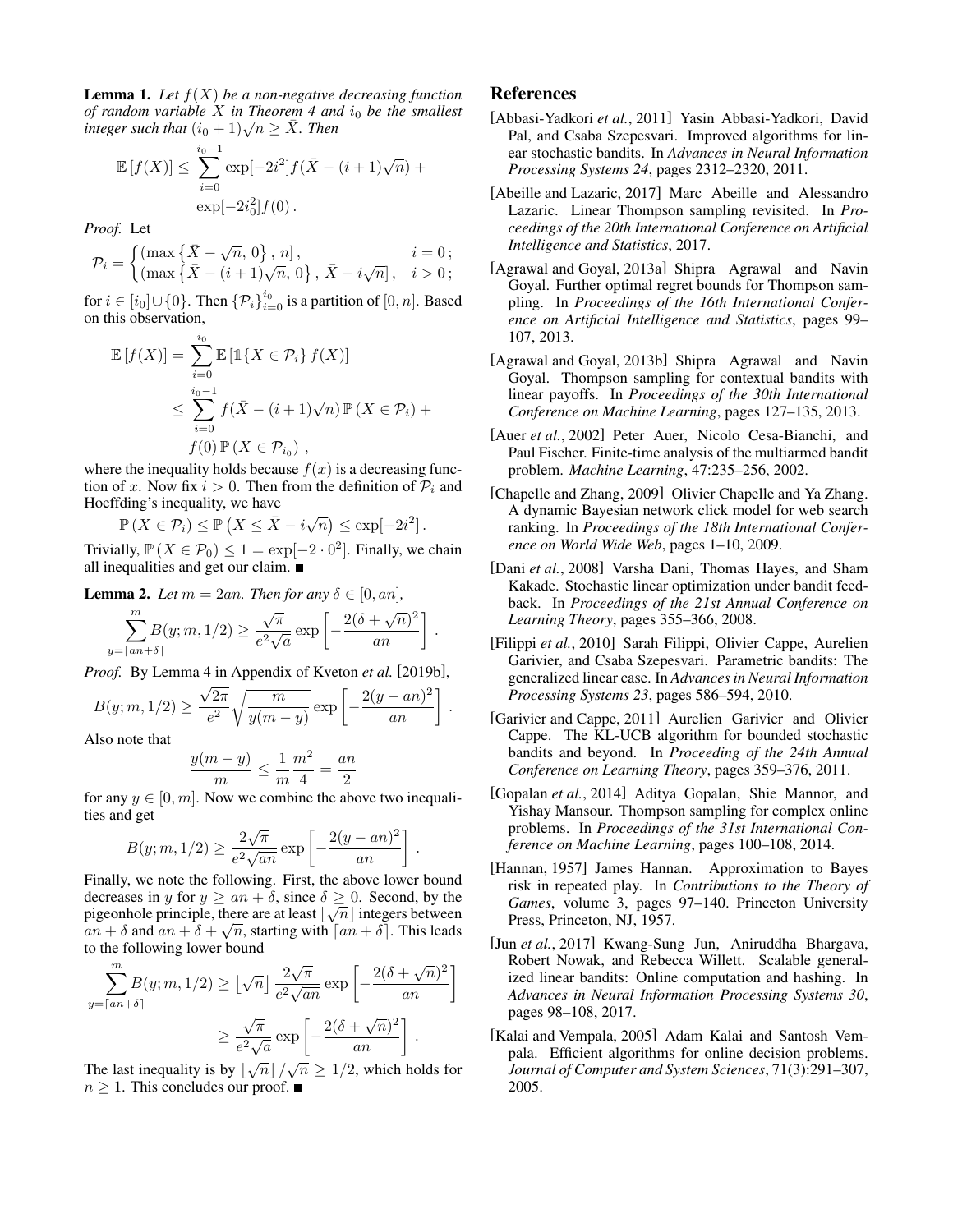Lemma 1. *Let* f(X) *be a non-negative decreasing function of random variable* X *in Theorem* [4](#page-5-1) *and*  $i_0$  *be the smallest of random variable X in Theorem 4 and*<br>integer such that  $(i_0 + 1)\sqrt{n} \geq \overline{X}$ . Then

$$
\mathbb{E}[f(X)] \le \sum_{i=0}^{i_0 - 1} \exp[-2i^2] f(\bar{X} - (i+1)\sqrt{n}) + \exp[-2i_0^2] f(0).
$$

*Proof.* Let

$$
\mathcal{P}_{i} = \begin{cases} \left(\max\left\{\bar{X} - \sqrt{n}, 0\right\}, n\right], & i = 0; \\ \left(\max\left\{\bar{X} - (i+1)\sqrt{n}, 0\right\}, \bar{X} - i\sqrt{n}\right], & i > 0; \end{cases}
$$

for  $i \in [i_0] \cup \{0\}$ . Then  $\{\mathcal{P}_i\}_{i=0}^{i_0}$  is a partition of  $[0, n]$ . Based on this observation,

$$
\mathbb{E}[f(X)] = \sum_{i=0}^{i_0} \mathbb{E}[\mathbb{1}\{X \in \mathcal{P}_i\} f(X)]
$$
  
\n
$$
\leq \sum_{i=0}^{i_0-1} f(\bar{X} - (i+1)\sqrt{n}) \mathbb{P}(X \in \mathcal{P}_i) +
$$
  
\n
$$
f(0) \mathbb{P}(X \in \mathcal{P}_{i_0}),
$$

where the inequality holds because  $f(x)$  is a decreasing function of x. Now fix  $i > 0$ . Then from the definition of  $P_i$  and Hoeffding's inequality, we have √

$$
\mathbb{P}\left(X \in \mathcal{P}_i\right) \le \mathbb{P}\left(X \le \bar{X} - i\sqrt{n}\right) \le \exp[-2i^2].
$$

Trivially,  $\mathbb{P}(X \in \mathcal{P}_0) \leq 1 = \exp[-2 \cdot 0^2]$ . Finally, we chain all inequalities and get our claim.

<span id="page-6-13"></span>**Lemma 2.** Let  $m = 2an$ . Then for any  $\delta \in [0, an]$ ,

$$
\sum_{y=\lceil an+\delta\rceil}^{m} B(y;m,1/2) \ge \frac{\sqrt{\pi}}{e^2 \sqrt{a}} \exp\left[-\frac{2(\delta+\sqrt{n})^2}{an}\right].
$$

*Proof.* By Lemma 4 in Appendix of [Kveton](#page-7-15) *et al.* [\[2019b\]](#page-7-15),

$$
B(y; m, 1/2) \ge \frac{\sqrt{2\pi}}{e^2} \sqrt{\frac{m}{y(m-y)}} \exp\left[-\frac{2(y-an)^2}{an}\right].
$$
  
Is a note that

Also note that

$$
\frac{y(m-y)}{m} \le \frac{1}{m} \frac{m^2}{4} = \frac{an}{2}
$$

for any  $y \in [0, m]$ . Now we combine the above two inequalities and get

$$
B(y; m, 1/2) \ge \frac{2\sqrt{\pi}}{e^2 \sqrt{an}} \exp\left[-\frac{2(y-an)^2}{an}\right].
$$

Finally, we note the following. First, the above lower bound decreases in y for  $y \geq an + \delta$ , since  $\delta \geq 0$ . Second, by the pigeonhole principle, there are at least  $\lfloor \sqrt{n} \rfloor$  integers between  $an + \delta$  and  $an + \delta + \sqrt{n}$ , starting with  $\lceil an + \delta \rceil$ . This leads to the following lower bound

$$
\sum_{y=\lceil an+\delta\rceil}^{m} B(y; m, 1/2) \ge \lfloor \sqrt{n} \rfloor \frac{2\sqrt{\pi}}{e^2 \sqrt{an}} \exp\left[ -\frac{2(\delta + \sqrt{n})^2}{an} \right]
$$

$$
\ge \frac{\sqrt{\pi}}{e^2 \sqrt{a}} \exp\left[ -\frac{2(\delta + \sqrt{n})^2}{an} \right].
$$

The last inequality is by  $\left[\sqrt{n}\right]/\sqrt{n} \ge 1/2$ , which holds for  $n \geq 1$ . This concludes our proof.

## References

- <span id="page-6-2"></span>[Abbasi-Yadkori *et al.*, 2011] Yasin Abbasi-Yadkori, David Pal, and Csaba Szepesvari. Improved algorithms for linear stochastic bandits. In *Advances in Neural Information Processing Systems 24*, pages 2312–2320, 2011.
- <span id="page-6-7"></span>[Abeille and Lazaric, 2017] Marc Abeille and Alessandro Lazaric. Linear Thompson sampling revisited. In *Proceedings of the 20th International Conference on Artificial Intelligence and Statistics*, 2017.
- <span id="page-6-4"></span>[Agrawal and Goyal, 2013a] Shipra Agrawal and Navin Goyal. Further optimal regret bounds for Thompson sampling. In *Proceedings of the 16th International Conference on Artificial Intelligence and Statistics*, pages 99– 107, 2013.
- <span id="page-6-5"></span>[Agrawal and Goyal, 2013b] Shipra Agrawal and Navin Goyal. Thompson sampling for contextual bandits with linear payoffs. In *Proceedings of the 30th International Conference on Machine Learning*, pages 127–135, 2013.
- <span id="page-6-0"></span>[Auer *et al.*, 2002] Peter Auer, Nicolo Cesa-Bianchi, and Paul Fischer. Finite-time analysis of the multiarmed bandit problem. *Machine Learning*, 47:235–256, 2002.
- <span id="page-6-9"></span>[Chapelle and Zhang, 2009] Olivier Chapelle and Ya Zhang. A dynamic Bayesian network click model for web search ranking. In *Proceedings of the 18th International Conference on World Wide Web*, pages 1–10, 2009.
- <span id="page-6-1"></span>[Dani *et al.*, 2008] Varsha Dani, Thomas Hayes, and Sham Kakade. Stochastic linear optimization under bandit feedback. In *Proceedings of the 21st Annual Conference on Learning Theory*, pages 355–366, 2008.
- <span id="page-6-6"></span>[Filippi *et al.*, 2010] Sarah Filippi, Olivier Cappe, Aurelien Garivier, and Csaba Szepesvari. Parametric bandits: The generalized linear case. In *Advances in Neural Information Processing Systems 23*, pages 586–594, 2010.
- <span id="page-6-3"></span>[Garivier and Cappe, 2011] Aurelien Garivier and Olivier Cappe. The KL-UCB algorithm for bounded stochastic bandits and beyond. In *Proceeding of the 24th Annual Conference on Learning Theory*, pages 359–376, 2011.
- <span id="page-6-10"></span>[Gopalan *et al.*, 2014] Aditya Gopalan, Shie Mannor, and Yishay Mansour. Thompson sampling for complex online problems. In *Proceedings of the 31st International Conference on Machine Learning*, pages 100–108, 2014.
- <span id="page-6-11"></span>[Hannan, 1957] James Hannan. Approximation to Bayes risk in repeated play. In *Contributions to the Theory of Games*, volume 3, pages 97–140. Princeton University Press, Princeton, NJ, 1957.
- <span id="page-6-8"></span>[Jun *et al.*, 2017] Kwang-Sung Jun, Aniruddha Bhargava, Robert Nowak, and Rebecca Willett. Scalable generalized linear bandits: Online computation and hashing. In *Advances in Neural Information Processing Systems 30*, pages 98–108, 2017.
- <span id="page-6-12"></span>[Kalai and Vempala, 2005] Adam Kalai and Santosh Vempala. Efficient algorithms for online decision problems. *Journal of Computer and System Sciences*, 71(3):291–307, 2005.